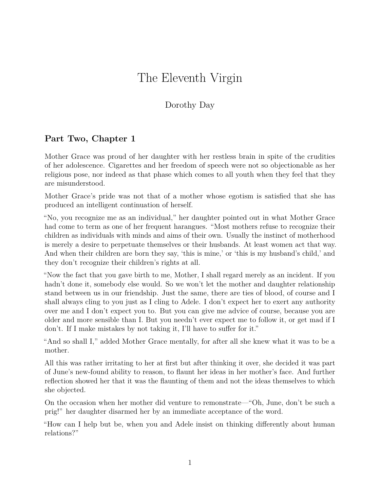## The Eleventh Virgin

## Dorothy Day

## **Part Two, Chapter 1**

Mother Grace was proud of her daughter with her restless brain in spite of the crudities of her adolescence. Cigarettes and her freedom of speech were not so objectionable as her religious pose, nor indeed as that phase which comes to all youth when they feel that they are misunderstood.

Mother Grace's pride was not that of a mother whose egotism is satisfied that she has produced an intelligent continuation of herself.

"No, you recognize me as an individual," her daughter pointed out in what Mother Grace had come to term as one of her frequent harangues. "Most mothers refuse to recognize their children as individuals with minds and aims of their own. Usually the instinct of motherhood is merely a desire to perpetuate themselves or their husbands. At least women act that way. And when their children are born they say, 'this is mine,' or 'this is my husband's child,' and they don't recognize their children's rights at all.

"Now the fact that you gave birth to me, Mother, I shall regard merely as an incident. If you hadn't done it, somebody else would. So we won't let the mother and daughter relationship stand between us in our friendship. Just the same, there are ties of blood, of course and I shall always cling to you just as I cling to Adele. I don't expect her to exert any authority over me and I don't expect you to. But you can give me advice of course, because you are older and more sensible than I. But you needn't ever expect me to follow it, or get mad if I don't. If I make mistakes by not taking it, I'll have to suffer for it."

"And so shall I," added Mother Grace mentally, for after all she knew what it was to be a mother.

All this was rather irritating to her at first but after thinking it over, she decided it was part of June's new-found ability to reason, to flaunt her ideas in her mother's face. And further reflection showed her that it was the flaunting of them and not the ideas themselves to which she objected.

On the occasion when her mother did venture to remonstrate—"Oh, June, don't be such a prig!" her daughter disarmed her by an immediate acceptance of the word.

"How can I help but be, when you and Adele insist on thinking differently about human relations?"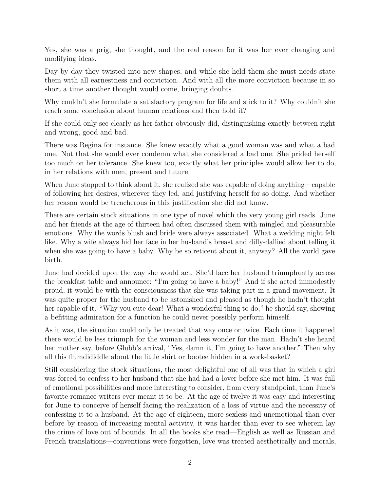Yes, she was a prig, she thought, and the real reason for it was her ever changing and modifying ideas.

Day by day they twisted into new shapes, and while she held them she must needs state them with all earnestness and conviction. And with all the more conviction because in so short a time another thought would come, bringing doubts.

Why couldn't she formulate a satisfactory program for life and stick to it? Why couldn't she reach some conclusion about human relations and then hold it?

If she could only see clearly as her father obviously did, distinguishing exactly between right and wrong, good and bad.

There was Regina for instance. She knew exactly what a good woman was and what a bad one. Not that she would ever condemn what she considered a bad one. She prided herself too much on her tolerance. She knew too, exactly what her principles would allow her to do, in her relations with men, present and future.

When June stopped to think about it, she realized she was capable of doing anything—capable of following her desires, wherever they led, and justifying herself for so doing. And whether her reason would be treacherous in this justification she did not know.

There are certain stock situations in one type of novel which the very young girl reads. June and her friends at the age of thirteen had often discussed them with mingled and pleasurable emotions. Why the words blush and bride were always associated. What a wedding night felt like. Why a wife always hid her face in her husband's breast and dilly-dallied about telling it when she was going to have a baby. Why be so reticent about it, anyway? All the world gave birth.

June had decided upon the way she would act. She'd face her husband triumphantly across the breakfast table and announce: "I'm going to have a baby!" And if she acted immodestly proud, it would be with the consciousness that she was taking part in a grand movement. It was quite proper for the husband to be astonished and pleased as though he hadn't thought her capable of it. "Why you cute dear! What a wonderful thing to do," he should say, showing a befitting admiration for a function he could never possibly perform himself.

As it was, the situation could only be treated that way once or twice. Each time it happened there would be less triumph for the woman and less wonder for the man. Hadn't she heard her mother say, before Glubb's arrival, "Yes, damn it, I'm going to have another." Then why all this flumdididdle about the little shirt or bootee hidden in a work-basket?

Still considering the stock situations, the most delightful one of all was that in which a girl was forced to confess to her husband that she had had a lover before she met him. It was full of emotional possibilities and more interesting to consider, from every standpoint, than June's favorite romance writers ever meant it to be. At the age of twelve it was easy and interesting for June to conceive of herself facing the realization of a loss of virtue and the necessity of confessing it to a husband. At the age of eighteen, more sexless and unemotional than ever before by reason of increasing mental activity, it was harder than ever to see wherein lay the crime of love out of bounds. In all the books she read—English as well as Russian and French translations—conventions were forgotten, love was treated aesthetically and morals,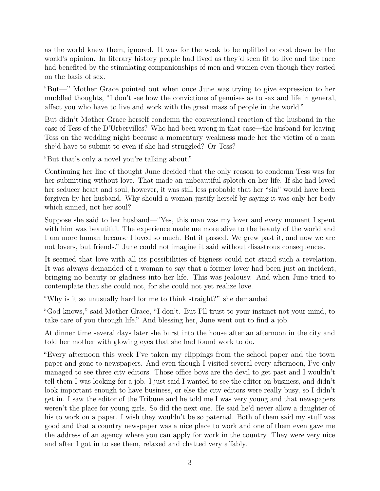as the world knew them, ignored. It was for the weak to be uplifted or cast down by the world's opinion. In literary history people had lived as they'd seen fit to live and the race had benefited by the stimulating companionships of men and women even though they rested on the basis of sex.

"But—" Mother Grace pointed out when once June was trying to give expression to her muddled thoughts, "I don't see how the convictions of genuises as to sex and life in general, affect you who have to live and work with the great mass of people in the world."

But didn't Mother Grace herself condemn the conventional reaction of the husband in the case of Tess of the D'Urbervilles? Who had been wrong in that case—the husband for leaving Tess on the wedding night because a momentary weakness made her the victim of a man she'd have to submit to even if she had struggled? Or Tess?

"But that's only a novel you're talking about."

Continuing her line of thought June decided that the only reason to condemn Tess was for her submitting without love. That made an unbeautiful splotch on her life. If she had loved her seducer heart and soul, however, it was still less probable that her "sin" would have been forgiven by her husband. Why should a woman justify herself by saying it was only her body which sinned, not her soul?

Suppose she said to her husband—"Yes, this man was my lover and every moment I spent with him was beautiful. The experience made me more alive to the beauty of the world and I am more human because I loved so much. But it passed. We grew past it, and now we are not lovers, but friends." June could not imagine it said without disastrous consequences.

It seemed that love with all its possibilities of bigness could not stand such a revelation. It was always demanded of a woman to say that a former lover had been just an incident, bringing no beauty or gladness into her life. This was jealousy. And when June tried to contemplate that she could not, for she could not yet realize love.

"Why is it so unusually hard for me to think straight?" she demanded.

"God knows," said Mother Grace, "I don't. But I'll trust to your instinct not your mind, to take care of you through life." And blessing her, June went out to find a job.

At dinner time several days later she burst into the house after an afternoon in the city and told her mother with glowing eyes that she had found work to do.

"Every afternoon this week I've taken my clippings from the school paper and the town paper and gone to newspapers. And even though I visited several every afternoon, I've only managed to see three city editors. Those office boys are the devil to get past and I wouldn't tell them I was looking for a job. I just said I wanted to see the editor on business, and didn't look important enough to have business, or else the city editors were really busy, so I didn't get in. I saw the editor of the Tribune and he told me I was very young and that newspapers weren't the place for young girls. So did the next one. He said he'd never allow a daughter of his to work on a paper. I wish they wouldn't be so paternal. Both of them said my stuff was good and that a country newspaper was a nice place to work and one of them even gave me the address of an agency where you can apply for work in the country. They were very nice and after I got in to see them, relaxed and chatted very affably.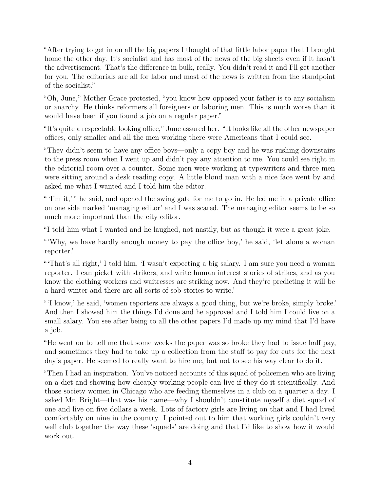"After trying to get in on all the big papers I thought of that little labor paper that I brought home the other day. It's socialist and has most of the news of the big sheets even if it hasn't the advertisement. That's the difference in bulk, really. You didn't read it and I'll get another for you. The editorials are all for labor and most of the news is written from the standpoint of the socialist."

"Oh, June," Mother Grace protested, "you know how opposed your father is to any socialism or anarchy. He thinks reformers all foreigners or laboring men. This is much worse than it would have been if you found a job on a regular paper."

"It's quite a respectable looking office," June assured her. "It looks like all the other newspaper offices, only smaller and all the men working there were Americans that I could see.

"They didn't seem to have any office boys—only a copy boy and he was rushing downstairs to the press room when I went up and didn't pay any attention to me. You could see right in the editorial room over a counter. Some men were working at typewriters and three men were sitting around a desk reading copy. A little blond man with a nice face went by and asked me what I wanted and I told him the editor.

"'I'm it,'" he said, and opened the swing gate for me to go in. He led me in a private office on one side marked 'managing editor' and I was scared. The managing editor seems to be so much more important than the city editor.

"I told him what I wanted and he laughed, not nastily, but as though it were a great joke.

"'Why, we have hardly enough money to pay the office boy,' he said, 'let alone a woman reporter.'

"'That's all right,' I told him, 'I wasn't expecting a big salary. I am sure you need a woman reporter. I can picket with strikers, and write human interest stories of strikes, and as you know the clothing workers and waitresses are striking now. And they're predicting it will be a hard winter and there are all sorts of sob stories to write.'

"'I know,' he said, 'women reporters are always a good thing, but we're broke, simply broke.' And then I showed him the things I'd done and he approved and I told him I could live on a small salary. You see after being to all the other papers I'd made up my mind that I'd have a job.

"He went on to tell me that some weeks the paper was so broke they had to issue half pay, and sometimes they had to take up a collection from the staff to pay for cuts for the next day's paper. He seemed to really want to hire me, but not to see his way clear to do it.

"Then I had an inspiration. You've noticed accounts of this squad of policemen who are living on a diet and showing how cheaply working people can live if they do it scientifically. And those society women in Chicago who are feeding themselves in a club on a quarter a day. I asked Mr. Bright—that was his name—why I shouldn't constitute myself a diet squad of one and live on five dollars a week. Lots of factory girls are living on that and I had lived comfortably on nine in the country. I pointed out to him that working girls couldn't very well club together the way these 'squads' are doing and that I'd like to show how it would work out.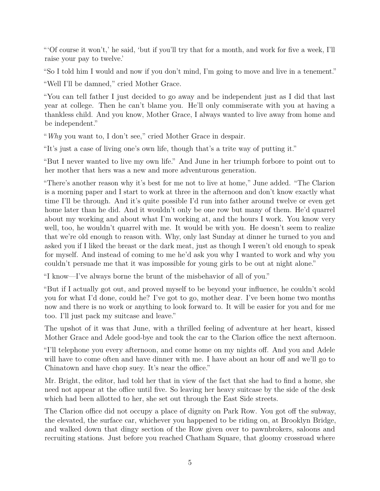"'Of course it won't,' he said, 'but if you'll try that for a month, and work for five a week, I'll raise your pay to twelve.'

"So I told him I would and now if you don't mind, I'm going to move and live in a tenement."

"Well I'll be damned," cried Mother Grace.

"You can tell father I just decided to go away and be independent just as I did that last year at college. Then he can't blame you. He'll only commiserate with you at having a thankless child. And you know, Mother Grace, I always wanted to live away from home and be independent."

"*Why* you want to, I don't see," cried Mother Grace in despair.

"It's just a case of living one's own life, though that's a trite way of putting it."

"But I never wanted to live my own life." And June in her triumph forbore to point out to her mother that hers was a new and more adventurous generation.

"There's another reason why it's best for me not to live at home," June added. "The Clarion is a morning paper and I start to work at three in the afternoon and don't know exactly what time I'll be through. And it's quite possible I'd run into father around twelve or even get home later than he did. And it wouldn't only be one row but many of them. He'd quarrel about my working and about what I'm working at, and the hours I work. You know very well, too, he wouldn't quarrel with me. It would be with you. He doesn't seem to realize that we're old enough to reason with. Why, only last Sunday at dinner he turned to you and asked you if I liked the breast or the dark meat, just as though I weren't old enough to speak for myself. And instead of coming to me he'd ask you why I wanted to work and why you couldn't persuade me that it was impossible for young girls to be out at night alone."

"I know—I've always borne the brunt of the misbehavior of all of you."

"But if I actually got out, and proved myself to be beyond your influence, he couldn't scold you for what I'd done, could he? I've got to go, mother dear. I've been home two months now and there is no work or anything to look forward to. It will be easier for you and for me too. I'll just pack my suitcase and leave."

The upshot of it was that June, with a thrilled feeling of adventure at her heart, kissed Mother Grace and Adele good-bye and took the car to the Clarion office the next afternoon.

"I'll telephone you every afternoon, and come home on my nights off. And you and Adele will have to come often and have dinner with me. I have about an hour off and we'll go to Chinatown and have chop suey. It's near the office."

Mr. Bright, the editor, had told her that in view of the fact that she had to find a home, she need not appear at the office until five. So leaving her heavy suitcase by the side of the desk which had been allotted to her, she set out through the East Side streets.

The Clarion office did not occupy a place of dignity on Park Row. You got off the subway, the elevated, the surface car, whichever you happened to be riding on, at Brooklyn Bridge, and walked down that dingy section of the Row given over to pawnbrokers, saloons and recruiting stations. Just before you reached Chatham Square, that gloomy crossroad where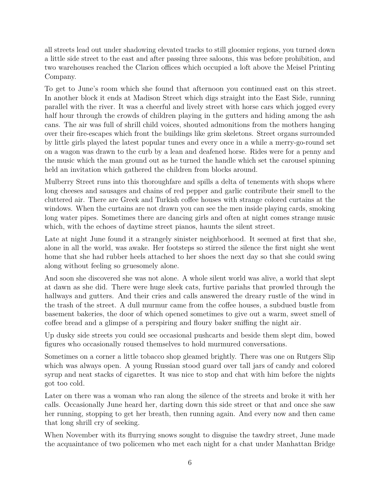all streets lead out under shadowing elevated tracks to still gloomier regions, you turned down a little side street to the east and after passing three saloons, this was before prohibition, and two warehouses reached the Clarion offices which occupied a loft above the Meisel Printing Company.

To get to June's room which she found that afternoon you continued east on this street. In another block it ends at Madison Street which digs straight into the East Side, running parallel with the river. It was a cheerful and lively street with horse cars which jogged every half hour through the crowds of children playing in the gutters and hiding among the ash cans. The air was full of shrill child voices, shouted admonitions from the mothers hanging over their fire-escapes which front the buildings like grim skeletons. Street organs surrounded by little girls played the latest popular tunes and every once in a while a merry-go-round set on a wagon was drawn to the curb by a lean and deafened horse. Rides were for a penny and the music which the man ground out as he turned the handle which set the carousel spinning held an invitation which gathered the children from blocks around.

Mulberry Street runs into this thoroughfare and spills a delta of tenements with shops where long cheeses and sausages and chains of red pepper and garlic contribute their smell to the cluttered air. There are Greek and Turkish coffee houses with strange colored curtains at the windows. When the curtains are not drawn you can see the men inside playing cards, smoking long water pipes. Sometimes there are dancing girls and often at night comes strange music which, with the echoes of daytime street pianos, haunts the silent street.

Late at night June found it a strangely sinister neighborhood. It seemed at first that she, alone in all the world, was awake. Her footsteps so stirred the silence the first night she went home that she had rubber heels attached to her shoes the next day so that she could swing along without feeling so gruesomely alone.

And soon she discovered she was not alone. A whole silent world was alive, a world that slept at dawn as she did. There were huge sleek cats, furtive pariahs that prowled through the hallways and gutters. And their cries and calls answered the dreary rustle of the wind in the trash of the street. A dull murmur came from the coffee houses, a subdued bustle from basement bakeries, the door of which opened sometimes to give out a warm, sweet smell of coffee bread and a glimpse of a perspiring and floury baker sniffing the night air.

Up dusky side streets you could see occasional pushcarts and beside them slept dim, bowed figures who occasionally roused themselves to hold murmured conversations.

Sometimes on a corner a little tobacco shop gleamed brightly. There was one on Rutgers Slip which was always open. A young Russian stood guard over tall jars of candy and colored syrup and neat stacks of cigarettes. It was nice to stop and chat with him before the nights got too cold.

Later on there was a woman who ran along the silence of the streets and broke it with her calls. Occasionally June heard her, darting down this side street or that and once she saw her running, stopping to get her breath, then running again. And every now and then came that long shrill cry of seeking.

When November with its flurrying snows sought to disguise the tawdry street, June made the acquaintance of two policemen who met each night for a chat under Manhattan Bridge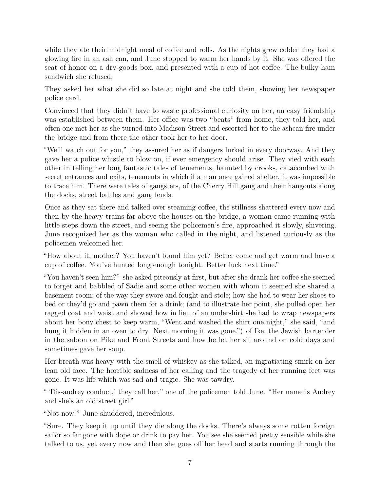while they ate their midnight meal of coffee and rolls. As the nights grew colder they had a glowing fire in an ash can, and June stopped to warm her hands by it. She was offered the seat of honor on a dry-goods box, and presented with a cup of hot coffee. The bulky ham sandwich she refused.

They asked her what she did so late at night and she told them, showing her newspaper police card.

Convinced that they didn't have to waste professional curiosity on her, an easy friendship was established between them. Her office was two "beats" from home, they told her, and often one met her as she turned into Madison Street and escorted her to the ashcan fire under the bridge and from there the other took her to her door.

"We'll watch out for you," they assured her as if dangers lurked in every doorway. And they gave her a police whistle to blow on, if ever emergency should arise. They vied with each other in telling her long fantastic tales of tenements, haunted by crooks, catacombed with secret entrances and exits, tenements in which if a man once gained shelter, it was impossible to trace him. There were tales of gangsters, of the Cherry Hill gang and their hangouts along the docks, street battles and gang feuds.

Once as they sat there and talked over steaming coffee, the stillness shattered every now and then by the heavy trains far above the houses on the bridge, a woman came running with little steps down the street, and seeing the policemen's fire, approached it slowly, shivering. June recognized her as the woman who called in the night, and listened curiously as the policemen welcomed her.

"How about it, mother? You haven't found him yet? Better come and get warm and have a cup of coffee. You've hunted long enough tonight. Better luck next time."

"You haven't seen him?" she asked piteously at first, but after she drank her coffee she seemed to forget and babbled of Sadie and some other women with whom it seemed she shared a basement room; of the way they swore and fought and stole; how she had to wear her shoes to bed or they'd go and pawn them for a drink; (and to illustrate her point, she pulled open her ragged coat and waist and showed how in lieu of an undershirt she had to wrap newspapers about her bony chest to keep warm, "Went and washed the shirt one night," she said, "and hung it hidden in an oven to dry. Next morning it was gone.") of Ike, the Jewish bartender in the saloon on Pike and Front Streets and how he let her sit around on cold days and sometimes gave her soup.

Her breath was heavy with the smell of whiskey as she talked, an ingratiating smirk on her lean old face. The horrible sadness of her calling and the tragedy of her running feet was gone. It was life which was sad and tragic. She was tawdry.

" 'Dis-audrey conduct,' they call her," one of the policemen told June. "Her name is Audrey and she's an old street girl."

"Not now!" June shuddered, incredulous.

"Sure. They keep it up until they die along the docks. There's always some rotten foreign sailor so far gone with dope or drink to pay her. You see she seemed pretty sensible while she talked to us, yet every now and then she goes off her head and starts running through the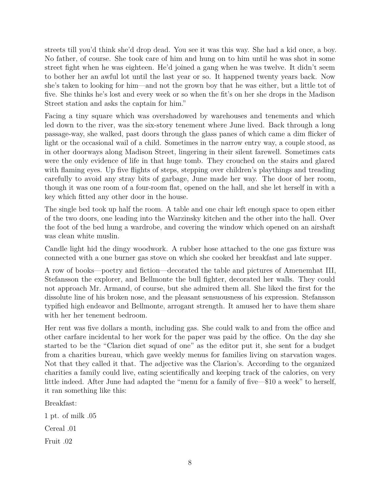streets till you'd think she'd drop dead. You see it was this way. She had a kid once, a boy. No father, of course. She took care of him and hung on to him until he was shot in some street fight when he was eighteen. He'd joined a gang when he was twelve. It didn't seem to bother her an awful lot until the last year or so. It happened twenty years back. Now she's taken to looking for him—and not the grown boy that he was either, but a little tot of five. She thinks he's lost and every week or so when the fit's on her she drops in the Madison Street station and asks the captain for him."

Facing a tiny square which was overshadowed by warehouses and tenements and which led down to the river, was the six-story tenement where June lived. Back through a long passage-way, she walked, past doors through the glass panes of which came a dim flicker of light or the occasional wail of a child. Sometimes in the narrow entry way, a couple stood, as in other doorways along Madison Street, lingering in their silent farewell. Sometimes cats were the only evidence of life in that huge tomb. They crouched on the stairs and glared with flaming eyes. Up five flights of steps, stepping over children's playthings and treading carefully to avoid any stray bits of garbage, June made her way. The door of her room, though it was one room of a four-room flat, opened on the hall, and she let herself in with a key which fitted any other door in the house.

The single bed took up half the room. A table and one chair left enough space to open either of the two doors, one leading into the Warzinsky kitchen and the other into the hall. Over the foot of the bed hung a wardrobe, and covering the window which opened on an airshaft was clean white muslin.

Candle light hid the dingy woodwork. A rubber hose attached to the one gas fixture was connected with a one burner gas stove on which she cooked her breakfast and late supper.

A row of books—poetry and fiction—decorated the table and pictures of Amenemhat III, Stefansson the explorer, and Bellmonte the bull fighter, decorated her walls. They could not approach Mr. Armand, of course, but she admired them all. She liked the first for the dissolute line of his broken nose, and the pleasant sensuousness of his expression. Stefansson typified high endeavor and Bellmonte, arrogant strength. It amused her to have them share with her her tenement bedroom.

Her rent was five dollars a month, including gas. She could walk to and from the office and other carfare incidental to her work for the paper was paid by the office. On the day she started to be the "Clarion diet squad of one" as the editor put it, she sent for a budget from a charities bureau, which gave weekly menus for families living on starvation wages. Not that they called it that. The adjective was the Clarion's. According to the organized charities a family could live, eating scientifically and keeping track of the calories, on very little indeed. After June had adapted the "menu for a family of five—\$10 a week" to herself, it ran something like this:

Breakfast:

1 pt. of milk .05 Cereal .01 Fruit .02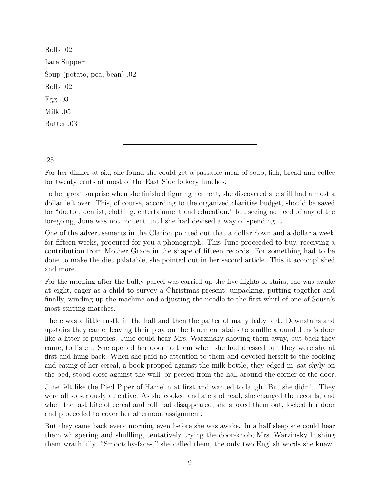Rolls .02 Late Supper: Soup (potato, pea, bean) .02 Rolls .02 Egg .03 Milk .05 Butter .03

.25

For her dinner at six, she found she could get a passable meal of soup, fish, bread and coffee for twenty cents at most of the East Side bakery lunches.

To her great surprise when she finished figuring her rent, she discovered she still had almost a dollar left over. This, of course, according to the organized charities budget, should be saved for "doctor, dentist, clothing, entertainment and education," but seeing no need of any of the foregoing, June was not content until she had devised a way of spending it.

One of the advertisements in the Clarion pointed out that a dollar down and a dollar a week, for fifteen weeks, procured for you a phonograph. This June proceeded to buy, receiving a contribution from Mother Grace in the shape of fifteen records. For something had to be done to make the diet palatable, she pointed out in her second article. This it accomplished and more.

For the morning after the bulky parcel was carried up the five flights of stairs, she was awake at eight, eager as a child to survey a Christmas present, unpacking, putting together and finally, winding up the machine and adjusting the needle to the first whirl of one of Sousa's most stirring marches.

There was a little rustle in the hall and then the patter of many baby feet. Downstairs and upstairs they came, leaving their play on the tenement stairs to snuffle around June's door like a litter of puppies. June could hear Mrs. Warzinsky shoving them away, but back they came, to listen. She opened her door to them when she had dressed but they were shy at first and hung back. When she paid no attention to them and devoted herself to the cooking and eating of her cereal, a book propped against the milk bottle, they edged in, sat shyly on the bed, stood close against the wall, or peered from the hall around the corner of the door.

June felt like the Pied Piper of Hamelin at first and wanted to laugh. But she didn't. They were all so seriously attentive. As she cooked and ate and read, she changed the records, and when the last bite of cereal and roll had disappeared, she shoved them out, locked her door and proceeded to cover her afternoon assignment.

But they came back every morning even before she was awake. In a half sleep she could hear them whispering and shuffling, tentatively trying the door-knob, Mrs. Warzinsky hushing them wrathfully. "Smootchy-faces," she called them, the only two English words she knew.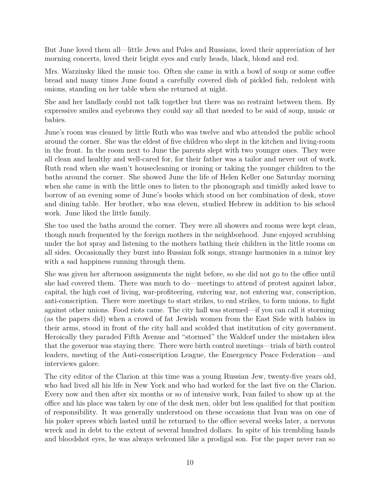But June loved them all—little Jews and Poles and Russians, loved their appreciation of her morning concerts, loved their bright eyes and curly heads, black, blond and red.

Mrs. Warzinsky liked the music too. Often she came in with a bowl of soup or some coffee bread and many times June found a carefully covered dish of pickled fish, redolent with onions, standing on her table when she returned at night.

She and her landlady could not talk together but there was no restraint between them. By expressive smiles and eyebrows they could say all that needed to be said of soup, music or babies.

June's room was cleaned by little Ruth who was twelve and who attended the public school around the corner. She was the eldest of five children who slept in the kitchen and living-room in the front. In the room next to June the parents slept with two younger ones. They were all clean and healthy and well-cared for, for their father was a tailor and never out of work. Ruth read when she wasn't housecleaning or ironing or taking the younger children to the baths around the corner. She showed June the life of Helen Keller one Saturday morning when she came in with the little ones to listen to the phonograph and timidly asked leave to borrow of an evening some of June's books which stood on her combination of desk, stove and dining table. Her brother, who was eleven, studied Hebrew in addition to his school work. June liked the little family.

She too used the baths around the corner. They were all showers and rooms were kept clean, though much frequented by the foreign mothers in the neighborhood. June enjoyed scrubbing under the hot spray and listening to the mothers bathing their children in the little rooms on all sides. Occasionally they burst into Russian folk songs, strange harmonies in a minor key with a sad happiness running through them.

She was given her afternoon assignments the night before, so she did not go to the office until she had covered them. There was much to do—meetings to attend of protest against labor, capital, the high cost of living, war-profiteering, entering war, not entering war, conscription, anti-conscription. There were meetings to start strikes, to end strikes, to form unions, to fight against other unions. Food riots came. The city hall was stormed—if you can call it storming (as the papers did) when a crowd of fat Jewish women from the East Side with babies in their arms, stood in front of the city hall and scolded that institution of city government. Heroically they paraded Fifth Avenue and "stormed" the Waldorf under the mistaken idea that the governor was staying there. There were birth control meetings—trials of birth control leaders, meeting of the Anti-conscription League, the Emergency Peace Federation—and interviews galore.

The city editor of the Clarion at this time was a young Russian Jew, twenty-five years old, who had lived all his life in New York and who had worked for the last five on the Clarion. Every now and then after six months or so of intensive work, Ivan failed to show up at the office and his place was taken by one of the desk men, older but less qualified for that position of responsibility. It was generally understood on these occasions that Ivan was on one of his poker sprees which lasted until he returned to the office several weeks later, a nervous wreck and in debt to the extent of several hundred dollars. In spite of his trembling hands and bloodshot eyes, he was always welcomed like a prodigal son. For the paper never ran so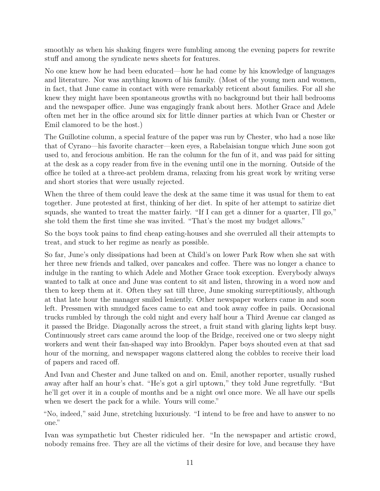smoothly as when his shaking fingers were fumbling among the evening papers for rewrite stuff and among the syndicate news sheets for features.

No one knew how he had been educated—how he had come by his knowledge of languages and literature. Nor was anything known of his family. (Most of the young men and women, in fact, that June came in contact with were remarkably reticent about families. For all she knew they might have been spontaneous growths with no background but their hall bedrooms and the newspaper office. June was engagingly frank about hers. Mother Grace and Adele often met her in the office around six for little dinner parties at which Ivan or Chester or Emil clamored to be the host.)

The Guillotine column, a special feature of the paper was run by Chester, who had a nose like that of Cyrano—his favorite character—keen eyes, a Rabelaisian tongue which June soon got used to, and ferocious ambition. He ran the column for the fun of it, and was paid for sitting at the desk as a copy reader from five in the evening until one in the morning. Outside of the office he toiled at a three-act problem drama, relaxing from his great work by writing verse and short stories that were usually rejected.

When the three of them could leave the desk at the same time it was usual for them to eat together. June protested at first, thinking of her diet. In spite of her attempt to satirize diet squads, she wanted to treat the matter fairly. "If I can get a dinner for a quarter, I'll go," she told them the first time she was invited. "That's the most my budget allows."

So the boys took pains to find cheap eating-houses and she overruled all their attempts to treat, and stuck to her regime as nearly as possible.

So far, June's only dissipations had been at Child's on lower Park Row when she sat with her three new friends and talked, over pancakes and coffee. There was no longer a chance to indulge in the ranting to which Adele and Mother Grace took exception. Everybody always wanted to talk at once and June was content to sit and listen, throwing in a word now and then to keep them at it. Often they sat till three, June smoking surreptitiously, although at that late hour the manager smiled leniently. Other newspaper workers came in and soon left. Pressmen with smudged faces came to eat and took away coffee in pails. Occasional trucks rumbled by through the cold night and every half hour a Third Avenue car clanged as it passed the Bridge. Diagonally across the street, a fruit stand with glaring lights kept busy. Continuously street cars came around the loop of the Bridge, received one or two sleepy night workers and went their fan-shaped way into Brooklyn. Paper boys shouted even at that sad hour of the morning, and newspaper wagons clattered along the cobbles to receive their load of papers and raced off.

And Ivan and Chester and June talked on and on. Emil, another reporter, usually rushed away after half an hour's chat. "He's got a girl uptown," they told June regretfully. "But he'll get over it in a couple of months and be a night owl once more. We all have our spells when we desert the pack for a while. Yours will come."

"No, indeed," said June, stretching luxuriously. "I intend to be free and have to answer to no one."

Ivan was sympathetic but Chester ridiculed her. "In the newspaper and artistic crowd, nobody remains free. They are all the victims of their desire for love, and because they have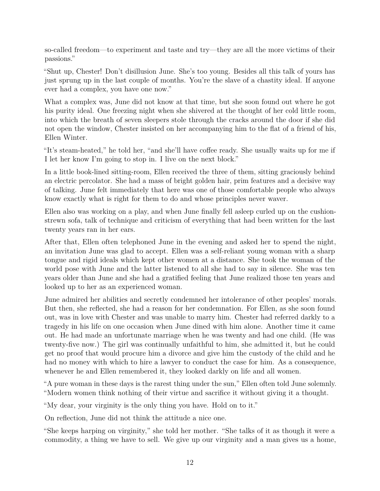so-called freedom—to experiment and taste and try—they are all the more victims of their passions."

"Shut up, Chester! Don't disillusion June. She's too young. Besides all this talk of yours has just sprung up in the last couple of months. You're the slave of a chastity ideal. If anyone ever had a complex, you have one now."

What a complex was, June did not know at that time, but she soon found out where he got his purity ideal. One freezing night when she shivered at the thought of her cold little room, into which the breath of seven sleepers stole through the cracks around the door if she did not open the window, Chester insisted on her accompanying him to the flat of a friend of his, Ellen Winter.

"It's steam-heated," he told her, "and she'll have coffee ready. She usually waits up for me if I let her know I'm going to stop in. I live on the next block."

In a little book-lined sitting-room, Ellen received the three of them, sitting graciously behind an electric percolator. She had a mass of bright golden hair, prim features and a decisive way of talking. June felt immediately that here was one of those comfortable people who always know exactly what is right for them to do and whose principles never waver.

Ellen also was working on a play, and when June finally fell asleep curled up on the cushionstrewn sofa, talk of technique and criticism of everything that had been written for the last twenty years ran in her ears.

After that, Ellen often telephoned June in the evening and asked her to spend the night, an invitation June was glad to accept. Ellen was a self-reliant young woman with a sharp tongue and rigid ideals which kept other women at a distance. She took the woman of the world pose with June and the latter listened to all she had to say in silence. She was ten years older than June and she had a gratified feeling that June realized those ten years and looked up to her as an experienced woman.

June admired her abilities and secretly condemned her intolerance of other peoples' morals. But then, she reflected, she had a reason for her condemnation. For Ellen, as she soon found out, was in love with Chester and was unable to marry him. Chester had referred darkly to a tragedy in his life on one occasion when June dined with him alone. Another time it came out. He had made an unfortunate marriage when he was twenty and had one child. (He was twenty-five now.) The girl was continually unfaithful to him, she admitted it, but he could get no proof that would procure him a divorce and give him the custody of the child and he had no money with which to hire a lawyer to conduct the case for him. As a consequence, whenever he and Ellen remembered it, they looked darkly on life and all women.

"A pure woman in these days is the rarest thing under the sun," Ellen often told June solemnly. "Modern women think nothing of their virtue and sacrifice it without giving it a thought.

"My dear, your virginity is the only thing you have. Hold on to it."

On reflection, June did not think the attitude a nice one.

"She keeps harping on virginity," she told her mother. "She talks of it as though it were a commodity, a thing we have to sell. We give up our virginity and a man gives us a home,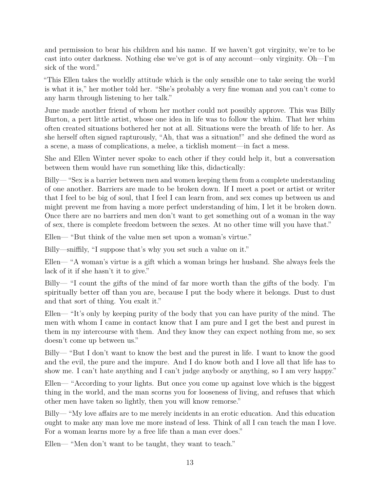and permission to bear his children and his name. If we haven't got virginity, we're to be cast into outer darkness. Nothing else we've got is of any account—only virginity. Oh—I'm sick of the word."

"This Ellen takes the worldly attitude which is the only sensible one to take seeing the world is what it is," her mother told her. "She's probably a very fine woman and you can't come to any harm through listening to her talk."

June made another friend of whom her mother could not possibly approve. This was Billy Burton, a pert little artist, whose one idea in life was to follow the whim. That her whim often created situations bothered her not at all. Situations were the breath of life to her. As she herself often signed rapturously, "Ah, that was a situation!" and she defined the word as a scene, a mass of complications, a melee, a ticklish moment—in fact a mess.

She and Ellen Winter never spoke to each other if they could help it, but a conversation between them would have run something like this, didactically:

Billy— "Sex is a barrier between men and women keeping them from a complete understanding of one another. Barriers are made to be broken down. If I meet a poet or artist or writer that I feel to be big of soul, that I feel I can learn from, and sex comes up between us and might prevent me from having a more perfect understanding of him, I let it be broken down. Once there are no barriers and men don't want to get something out of a woman in the way of sex, there is complete freedom between the sexes. At no other time will you have that."

Ellen— "But think of the value men set upon a woman's virtue."

Billy—sniffily, "I suppose that's why you set such a value on it."

Ellen— "A woman's virtue is a gift which a woman brings her husband. She always feels the lack of it if she hasn't it to give."

Billy— "I count the gifts of the mind of far more worth than the gifts of the body. I'm spiritually better off than you are, because I put the body where it belongs. Dust to dust and that sort of thing. You exalt it."

Ellen— "It's only by keeping purity of the body that you can have purity of the mind. The men with whom I came in contact know that I am pure and I get the best and purest in them in my intercourse with them. And they know they can expect nothing from me, so sex doesn't come up between us."

Billy— "But I don't want to know the best and the purest in life. I want to know the good and the evil, the pure and the impure. And I do know both and I love all that life has to show me. I can't hate anything and I can't judge anybody or anything, so I am very happy."

Ellen— "According to your lights. But once you come up against love which is the biggest thing in the world, and the man scorns you for looseness of living, and refuses that which other men have taken so lightly, then you will know remorse."

Billy— "My love affairs are to me merely incidents in an erotic education. And this education ought to make any man love me more instead of less. Think of all I can teach the man I love. For a woman learns more by a free life than a man ever does."

Ellen— "Men don't want to be taught, they want to teach."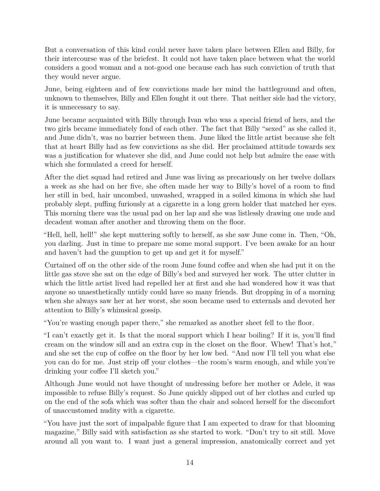But a conversation of this kind could never have taken place between Ellen and Billy, for their intercourse was of the briefest. It could not have taken place between what the world considers a good woman and a not-good one because each has such conviction of truth that they would never argue.

June, being eighteen and of few convictions made her mind the battleground and often, unknown to themselves, Billy and Ellen fought it out there. That neither side had the victory, it is unnecessary to say.

June became acquainted with Billy through Ivan who was a special friend of hers, and the two girls became immediately fond of each other. The fact that Billy "sexed" as she called it, and June didn't, was no barrier between them. June liked the little artist because she felt that at heart Billy had as few convictions as she did. Her proclaimed attitude towards sex was a justification for whatever she did, and June could not help but admire the ease with which she formulated a creed for herself.

After the diet squad had retired and June was living as precariously on her twelve dollars a week as she had on her five, she often made her way to Billy's hovel of a room to find her still in bed, hair uncombed, unwashed, wrapped in a soiled kimona in which she had probably slept, puffing furiously at a cigarette in a long green holder that matched her eyes. This morning there was the usual pad on her lap and she was listlessly drawing one nude and decadent woman after another and throwing them on the floor.

"Hell, hell, hell!" she kept muttering softly to herself, as she saw June come in. Then, "Oh, you darling. Just in time to prepare me some moral support. I've been awake for an hour and haven't had the gumption to get up and get it for myself."

Curtained off on the other side of the room June found coffee and when she had put it on the little gas stove she sat on the edge of Billy's bed and surveyed her work. The utter clutter in which the little artist lived had repelled her at first and she had wondered how it was that anyone so unaesthetically untidy could have so many friends. But dropping in of a morning when she always saw her at her worst, she soon became used to externals and devoted her attention to Billy's whimsical gossip.

"You're wasting enough paper there," she remarked as another sheet fell to the floor.

"I can't exactly get it. Is that the moral support which I hear boiling? If it is, you'll find cream on the window sill and an extra cup in the closet on the floor. Whew! That's hot," and she set the cup of coffee on the floor by her low bed. "And now I'll tell you what else you can do for me. Just strip off your clothes—the room's warm enough, and while you're drinking your coffee I'll sketch you."

Although June would not have thought of undressing before her mother or Adele, it was impossible to refuse Billy's request. So June quickly slipped out of her clothes and curled up on the end of the sofa which was softer than the chair and solaced herself for the discomfort of unaccustomed nudity with a cigarette.

"You have just the sort of impalpable figure that I am expected to draw for that blooming magazine," Billy said with satisfaction as she started to work. "Don't try to sit still. Move around all you want to. I want just a general impression, anatomically correct and yet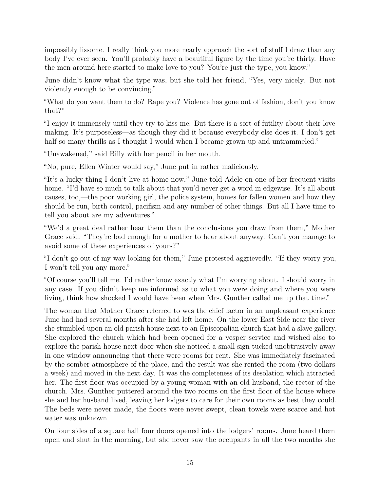impossibly lissome. I really think you more nearly approach the sort of stuff I draw than any body I've ever seen. You'll probably have a beautiful figure by the time you're thirty. Have the men around here started to make love to you? You're just the type, you know."

June didn't know what the type was, but she told her friend, "Yes, very nicely. But not violently enough to be convincing."

"What do you want them to do? Rape you? Violence has gone out of fashion, don't you know that?"

"I enjoy it immensely until they try to kiss me. But there is a sort of futility about their love making. It's purposeless—as though they did it because everybody else does it. I don't get half so many thrills as I thought I would when I became grown up and untrammeled."

"Unawakened," said Billy with her pencil in her mouth.

"No, pure, Ellen Winter would say," June put in rather maliciously.

"It's a lucky thing I don't live at home now," June told Adele on one of her frequent visits home. "I'd have so much to talk about that you'd never get a word in edgewise. It's all about causes, too,—the poor working girl, the police system, homes for fallen women and how they should be run, birth control, pacifism and any number of other things. But all I have time to tell you about are my adventures."

"We'd a great deal rather hear them than the conclusions you draw from them," Mother Grace said. "They're bad enough for a mother to hear about anyway. Can't you manage to avoid some of these experiences of yours?"

"I don't go out of my way looking for them," June protested aggrievedly. "If they worry you, I won't tell you any more."

"Of course you'll tell me. I'd rather know exactly what I'm worrying about. I should worry in any case. If you didn't keep me informed as to what you were doing and where you were living, think how shocked I would have been when Mrs. Gunther called me up that time."

The woman that Mother Grace referred to was the chief factor in an unpleasant experience June had had several months after she had left home. On the lower East Side near the river she stumbled upon an old parish house next to an Episcopalian church that had a slave gallery. She explored the church which had been opened for a vesper service and wished also to explore the parish house next door when she noticed a small sign tucked unobtrusively away in one window announcing that there were rooms for rent. She was immediately fascinated by the somber atmosphere of the place, and the result was she rented the room (two dollars a week) and moved in the next day. It was the completeness of its desolation which attracted her. The first floor was occupied by a young woman with an old husband, the rector of the church. Mrs. Gunther puttered around the two rooms on the first floor of the house where she and her husband lived, leaving her lodgers to care for their own rooms as best they could. The beds were never made, the floors were never swept, clean towels were scarce and hot water was unknown.

On four sides of a square hall four doors opened into the lodgers' rooms. June heard them open and shut in the morning, but she never saw the occupants in all the two months she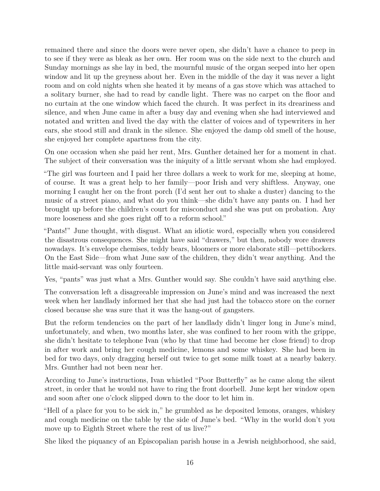remained there and since the doors were never open, she didn't have a chance to peep in to see if they were as bleak as her own. Her room was on the side next to the church and Sunday mornings as she lay in bed, the mournful music of the organ seeped into her open window and lit up the greyness about her. Even in the middle of the day it was never a light room and on cold nights when she heated it by means of a gas stove which was attached to a solitary burner, she had to read by candle light. There was no carpet on the floor and no curtain at the one window which faced the church. It was perfect in its dreariness and silence, and when June came in after a busy day and evening when she had interviewed and notated and written and lived the day with the clatter of voices and of typewriters in her ears, she stood still and drank in the silence. She enjoyed the damp old smell of the house, she enjoyed her complete apartness from the city.

On one occasion when she paid her rent, Mrs. Gunther detained her for a moment in chat. The subject of their conversation was the iniquity of a little servant whom she had employed.

"The girl was fourteen and I paid her three dollars a week to work for me, sleeping at home, of course. It was a great help to her family—poor Irish and very shiftless. Anyway, one morning I caught her on the front porch (I'd sent her out to shake a duster) dancing to the music of a street piano, and what do you think—she didn't have any pants on. I had her brought up before the children's court for misconduct and she was put on probation. Any more looseness and she goes right off to a reform school."

"Pants!" June thought, with disgust. What an idiotic word, especially when you considered the disastrous consequences. She might have said "drawers," but then, nobody wore drawers nowadays. It's envelope chemises, teddy bears, bloomers or more elaborate still—pettibockers. On the East Side—from what June saw of the children, they didn't wear anything. And the little maid-servant was only fourteen.

Yes, "pants" was just what a Mrs. Gunther would say. She couldn't have said anything else.

The conversation left a disagreeable impression on June's mind and was increased the next week when her landlady informed her that she had just had the tobacco store on the corner closed because she was sure that it was the hang-out of gangsters.

But the reform tendencies on the part of her landlady didn't linger long in June's mind, unfortunately, and when, two months later, she was confined to her room with the grippe, she didn't hesitate to telephone Ivan (who by that time had become her close friend) to drop in after work and bring her cough medicine, lemons and some whiskey. She had been in bed for two days, only dragging herself out twice to get some milk toast at a nearby bakery. Mrs. Gunther had not been near her.

According to June's instructions, Ivan whistled "Poor Butterfly" as he came along the silent street, in order that he would not have to ring the front doorbell. June kept her window open and soon after one o'clock slipped down to the door to let him in.

"Hell of a place for you to be sick in," he grumbled as he deposited lemons, oranges, whiskey and cough medicine on the table by the side of June's bed. "Why in the world don't you move up to Eighth Street where the rest of us live?"

She liked the piquancy of an Episcopalian parish house in a Jewish neighborhood, she said,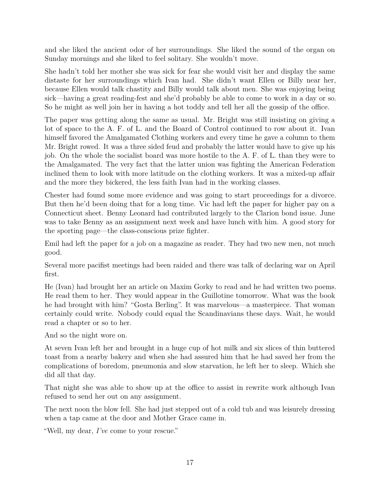and she liked the ancient odor of her surroundings. She liked the sound of the organ on Sunday mornings and she liked to feel solitary. She wouldn't move.

She hadn't told her mother she was sick for fear she would visit her and display the same distaste for her surroundings which Ivan had. She didn't want Ellen or Billy near her, because Ellen would talk chastity and Billy would talk about men. She was enjoying being sick—having a great reading-fest and she'd probably be able to come to work in a day or so. So he might as well join her in having a hot toddy and tell her all the gossip of the office.

The paper was getting along the same as usual. Mr. Bright was still insisting on giving a lot of space to the A. F. of L. and the Board of Control continued to row about it. Ivan himself favored the Amalgamated Clothing workers and every time he gave a column to them Mr. Bright rowed. It was a three sided feud and probably the latter would have to give up his job. On the whole the socialist board was more hostile to the A. F. of L. than they were to the Amalgamated. The very fact that the latter union was fighting the American Federation inclined them to look with more latitude on the clothing workers. It was a mixed-up affair and the more they bickered, the less faith Ivan had in the working classes.

Chester had found some more evidence and was going to start proceedings for a divorce. But then he'd been doing that for a long time. Vic had left the paper for higher pay on a Connecticut sheet. Benny Leonard had contributed largely to the Clarion bond issue. June was to take Benny as an assignment next week and have lunch with him. A good story for the sporting page—the class-conscious prize fighter.

Emil had left the paper for a job on a magazine as reader. They had two new men, not much good.

Several more pacifist meetings had been raided and there was talk of declaring war on April first.

He (Ivan) had brought her an article on Maxim Gorky to read and he had written two poems. He read them to her. They would appear in the Guillotine tomorrow. What was the book he had brought with him? "Gosta Berling". It was marvelous—a masterpiece. That woman certainly could write. Nobody could equal the Scandinavians these days. Wait, he would read a chapter or so to her.

And so the night wore on.

At seven Ivan left her and brought in a huge cup of hot milk and six slices of thin buttered toast from a nearby bakery and when she had assured him that he had saved her from the complications of boredom, pneumonia and slow starvation, he left her to sleep. Which she did all that day.

That night she was able to show up at the office to assist in rewrite work although Ivan refused to send her out on any assignment.

The next noon the blow fell. She had just stepped out of a cold tub and was leisurely dressing when a tap came at the door and Mother Grace came in.

"Well, my dear, *I've* come to your rescue."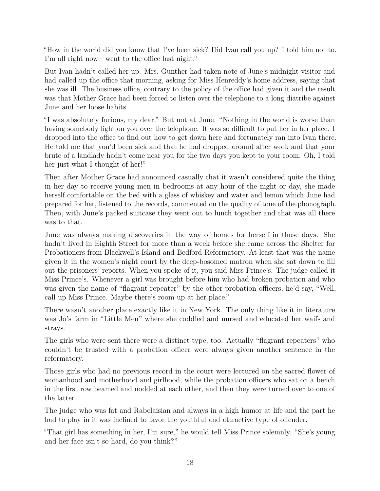"How in the world did you know that I've been sick? Did Ivan call you up? I told him not to. I'm all right now—went to the office last night."

But Ivan hadn't called her up. Mrs. Gunther had taken note of June's midnight visitor and had called up the office that morning, asking for Miss Henreddy's home address, saying that she was ill. The business office, contrary to the policy of the office had given it and the result was that Mother Grace had been forced to listen over the telephone to a long diatribe against June and her loose habits.

"I was absolutely furious, my dear." But not at June. "Nothing in the world is worse than having somebody light on you over the telephone. It was so difficult to put her in her place. I dropped into the office to find out how to get down here and fortunately ran into Ivan there. He told me that you'd been sick and that he had dropped around after work and that your brute of a landlady hadn't come near you for the two days you kept to your room. Oh, I told her just what I thought of her!"

Then after Mother Grace had announced casually that it wasn't considered quite the thing in her day to receive young men in bedrooms at any hour of the night or day, she made herself comfortable on the bed with a glass of whiskey and water and lemon which June had prepared for her, listened to the records, commented on the quality of tone of the phonograph. Then, with June's packed suitcase they went out to lunch together and that was all there was to that.

June was always making discoveries in the way of homes for herself in those days. She hadn't lived in Eighth Street for more than a week before she came across the Shelter for Probationers from Blackwell's Island and Bedford Reformatory. At least that was the name given it in the women's night court by the deep-bosomed matron when she sat down to fill out the prisoners' reports. When you spoke of it, you said Miss Prince's. The judge called it Miss Prince's. Whenever a girl was brought before him who had broken probation and who was given the name of "flagrant repeater" by the other probation officers, he'd say, "Well, call up Miss Prince. Maybe there's room up at her place."

There wasn't another place exactly like it in New York. The only thing like it in literature was Jo's farm in "Little Men" where she coddled and nursed and educated her waifs and strays.

The girls who were sent there were a distinct type, too. Actually "flagrant repeaters" who couldn't be trusted with a probation officer were always given another sentence in the reformatory.

Those girls who had no previous record in the court were lectured on the sacred flower of womanhood and motherhood and girlhood, while the probation officers who sat on a bench in the first row beamed and nodded at each other, and then they were turned over to one of the latter.

The judge who was fat and Rabelaisian and always in a high humor at life and the part he had to play in it was inclined to favor the youthful and attractive type of offender.

"That girl has something in her, I'm sure," he would tell Miss Prince solemnly. "She's young and her face isn't so hard, do you think?"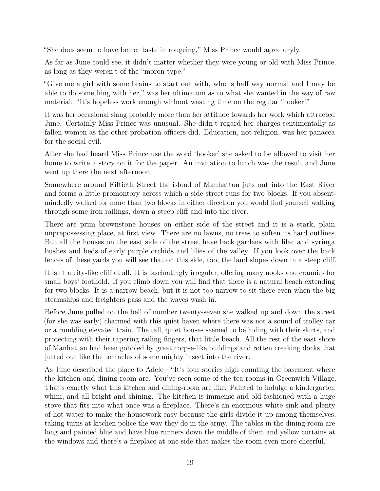"She does seem to have better taste in rougeing," Miss Prince would agree dryly.

As far as June could see, it didn't matter whether they were young or old with Miss Prince, as long as they weren't of the "moron type."

"Give me a girl with some brains to start out with, who is half way normal and I may be able to do something with her," was her ultimatum as to what she wanted in the way of raw material. "It's hopeless work enough without wasting time on the regular 'hooker'."

It was her occasional slang probably more than her attitude towards her work which attracted June. Certainly Miss Prince was unusual. She didn't regard her charges sentimentally as fallen women as the other probation officers did. Education, not religion, was her panacea for the social evil.

After she had heard Miss Prince use the word 'hooker' she asked to be allowed to visit her home to write a story on it for the paper. An invitation to lunch was the result and June went up there the next afternoon.

Somewhere around Fiftieth Street the island of Manhattan juts out into the East River and forms a little promontory across which a side street runs for two blocks. If you absentmindedly walked for more than two blocks in either direction you would find yourself walking through some iron railings, down a steep cliff and into the river.

There are prim brownstone houses on either side of the street and it is a stark, plain unprepossessing place, at first view. There are no lawns, no trees to soften its hard outlines. But all the houses on the east side of the street have back gardens with lilac and syringa bushes and beds of early purple orchids and lilies of the valley. If you look over the back fences of these yards you will see that on this side, too, the land slopes down in a steep cliff.

It isn't a city-like cliff at all. It is fascinatingly irregular, offering many nooks and crannies for small boys' foothold. If you climb down you will find that there is a natural beach extending for two blocks. It is a narrow beach, but it is not too narrow to sit there even when the big steamships and freighters pass and the waves wash in.

Before June pulled on the bell of number twenty-seven she walked up and down the street (for she was early) charmed with this quiet haven where there was not a sound of trolley car or a rumbling elevated train. The tall, quiet houses seemed to be hiding with their skirts, and protecting with their tapering railing fingers, that little beach. All the rest of the east shore of Manhattan had been gobbled by great corpse-like buildings and rotten creaking docks that jutted out like the tentacles of some mighty insect into the river.

As June described the place to Adele—"It's four stories high counting the basement where the kitchen and dining-room are. You've seen some of the tea rooms in Greenwich Village. That's exactly what this kitchen and dining-room are like. Painted to indulge a kindergarten whim, and all bright and shining. The kitchen is immense and old-fashioned with a huge stove that fits into what once was a fireplace. There's an enormous white sink and plenty of hot water to make the housework easy because the girls divide it up among themselves, taking turns at kitchen police the way they do in the army. The tables in the dining-room are long and painted blue and have blue runners down the middle of them and yellow curtains at the windows and there's a fireplace at one side that makes the room even more cheerful.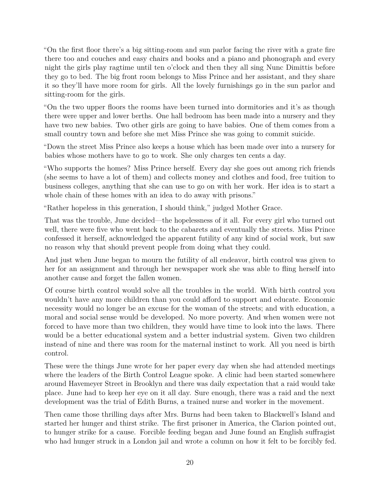"On the first floor there's a big sitting-room and sun parlor facing the river with a grate fire there too and couches and easy chairs and books and a piano and phonograph and every night the girls play ragtime until ten o'clock and then they all sing Nunc Dimittis before they go to bed. The big front room belongs to Miss Prince and her assistant, and they share it so they'll have more room for girls. All the lovely furnishings go in the sun parlor and sitting-room for the girls.

"On the two upper floors the rooms have been turned into dormitories and it's as though there were upper and lower berths. One hall bedroom has been made into a nursery and they have two new babies. Two other girls are going to have babies. One of them comes from a small country town and before she met Miss Prince she was going to commit suicide.

"Down the street Miss Prince also keeps a house which has been made over into a nursery for babies whose mothers have to go to work. She only charges ten cents a day.

"Who supports the homes? Miss Prince herself. Every day she goes out among rich friends (she seems to have a lot of them) and collects money and clothes and food, free tuition to business colleges, anything that she can use to go on with her work. Her idea is to start a whole chain of these homes with an idea to do away with prisons."

"Rather hopeless in this generation, I should think," judged Mother Grace.

That was the trouble, June decided—the hopelessness of it all. For every girl who turned out well, there were five who went back to the cabarets and eventually the streets. Miss Prince confessed it herself, acknowledged the apparent futility of any kind of social work, but saw no reason why that should prevent people from doing what they could.

And just when June began to mourn the futility of all endeavor, birth control was given to her for an assignment and through her newspaper work she was able to fling herself into another cause and forget the fallen women.

Of course birth control would solve all the troubles in the world. With birth control you wouldn't have any more children than you could afford to support and educate. Economic necessity would no longer be an excuse for the woman of the streets; and with education, a moral and social sense would be developed. No more poverty. And when women were not forced to have more than two children, they would have time to look into the laws. There would be a better educational system and a better industrial system. Given two children instead of nine and there was room for the maternal instinct to work. All you need is birth control.

These were the things June wrote for her paper every day when she had attended meetings where the leaders of the Birth Control League spoke. A clinic had been started somewhere around Havemeyer Street in Brooklyn and there was daily expectation that a raid would take place. June had to keep her eye on it all day. Sure enough, there was a raid and the next development was the trial of Edith Burns, a trained nurse and worker in the movement.

Then came those thrilling days after Mrs. Burns had been taken to Blackwell's Island and started her hunger and thirst strike. The first prisoner in America, the Clarion pointed out, to hunger strike for a cause. Forcible feeding began and June found an English suffragist who had hunger struck in a London jail and wrote a column on how it felt to be forcibly fed.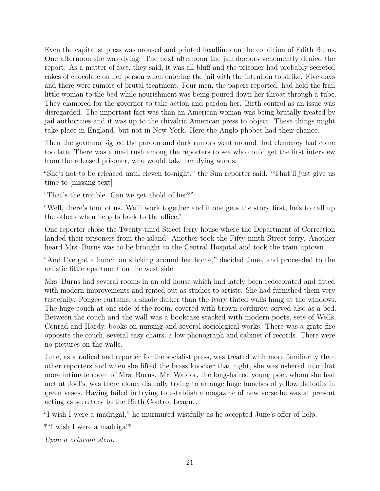Even the capitalist press was aroused and printed headlines on the condition of Edith Burns. One afternoon she was dying. The next afternoon the jail doctors vehemently denied the report. As a matter of fact, they said, it was all bluff and the prisoner had probably secreted cakes of chocolate on her person when entering the jail with the intention to strike. Five days and there were rumors of brutal treatment. Four men, the papers reported, had held the frail little woman to the bed while nourishment was being poured down her throat through a tube. They clamored for the governor to take action and pardon her. Birth control as an issue was disregarded. The important fact was than an American woman was being brutally treated by jail authorities and it was up to the chivalric American press to object. These things might take place in England, but not in New York. Here the Anglo-phobes had their chance.

Then the governor signed the pardon and dark rumors went around that clemency had come too late. There was a mad rush among the reporters to see who could get the first interview from the released prisoner, who would take her dying words.

"She's not to be released until eleven to-night," the Sun reporter said. "That'll just give us time to [missing text]

"That's the trouble. Can we get ahold of her?"

"Well, there's four of us. We'll work together and if one gets the story first, he's to call up the others when he gets back to the office."

One reporter chose the Twenty-third Street ferry house where the Department of Correction landed their prisoners from the island. Another took the Fifty-ninth Street ferry. Another heard Mrs. Burns was to be brought to the Central Hospital and took the train uptown.

"And I've got a hunch on sticking around her home," decided June, and proceeded to the artistic little apartment on the west side.

Mrs. Burns had several rooms in an old house which had lately been redecorated and fitted with modern improvements and rented out as studios to artists. She had furnished them very tastefully. Pongee curtains, a shade darker than the ivory tinted walls hung at the windows. The huge couch at one side of the room, covered with brown corduroy, served also as a bed. Between the couch and the wall was a bookcase stacked with modern poets, sets of Wells, Conrad and Hardy, books on nursing and several sociological works. There was a grate fire opposite the couch, several easy chairs, a low phonograph and cabinet of records. There were no pictures on the walls.

June, as a radical and reporter for the socialist press, was treated with more familiarity than other reporters and when she lifted the brass knocker that night, she was ushered into that more intimate room of Mrs. Burns. Mr. Waldor, the long-haired young poet whom she had met at Joel's, was there alone, dismally trying to arrange huge bunches of yellow daffodils in green vases. Having failed in trying to establish a magazine of new verse he was at present acting as secretary to the Birth Control League.

"I wish I were a madrigal," he murmured wistfully as he accepted June's offer of help.

\*"I wish I were a madrigal\*

*Upon a crimson stem.*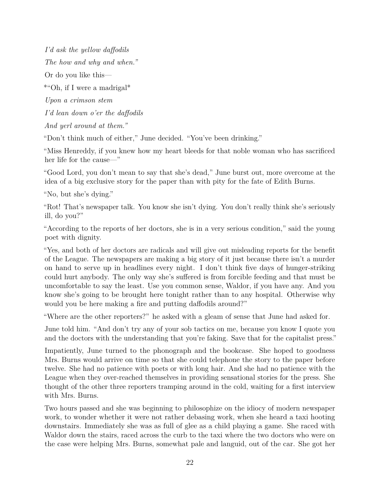*I'd ask the yellow daffodils The how and why and when."*

Or do you like this—

\*"Oh, if I were a madrigal\*

*Upon a crimson stem*

*I'd lean down o'er the daffodils*

*And yerl around at them."*

"Don't think much of either," June decided. "You've been drinking."

"Miss Henreddy, if you knew how my heart bleeds for that noble woman who has sacrificed her life for the cause—"

"Good Lord, you don't mean to say that she's dead," June burst out, more overcome at the idea of a big exclusive story for the paper than with pity for the fate of Edith Burns.

"No, but she's dying."

"Rot! That's newspaper talk. You know she isn't dying. You don't really think she's seriously ill, do you?"

"According to the reports of her doctors, she is in a very serious condition," said the young poet with dignity.

"Yes, and both of her doctors are radicals and will give out misleading reports for the benefit of the League. The newspapers are making a big story of it just because there isn't a murder on hand to serve up in headlines every night. I don't think five days of hunger-striking could hurt anybody. The only way she's suffered is from forcible feeding and that must be uncomfortable to say the least. Use you common sense, Waldor, if you have any. And you know she's going to be brought here tonight rather than to any hospital. Otherwise why would you be here making a fire and putting daffodils around?"

"Where are the other reporters?" he asked with a gleam of sense that June had asked for.

June told him. "And don't try any of your sob tactics on me, because you know I quote you and the doctors with the understanding that you're faking. Save that for the capitalist press."

Impatiently, June turned to the phonograph and the bookcase. She hoped to goodness Mrs. Burns would arrive on time so that she could telephone the story to the paper before twelve. She had no patience with poets or with long hair. And she had no patience with the League when they over-reached themselves in providing sensational stories for the press. She thought of the other three reporters tramping around in the cold, waiting for a first interview with Mrs. Burns.

Two hours passed and she was beginning to philosophize on the idiocy of modern newspaper work, to wonder whether it were not rather debasing work, when she heard a taxi hooting downstairs. Immediately she was as full of glee as a child playing a game. She raced with Waldor down the stairs, raced across the curb to the taxi where the two doctors who were on the case were helping Mrs. Burns, somewhat pale and languid, out of the car. She got her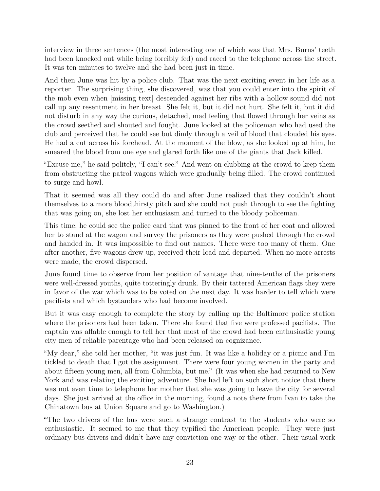interview in three sentences (the most interesting one of which was that Mrs. Burns' teeth had been knocked out while being forcibly fed) and raced to the telephone across the street. It was ten minutes to twelve and she had been just in time.

And then June was hit by a police club. That was the next exciting event in her life as a reporter. The surprising thing, she discovered, was that you could enter into the spirit of the mob even when [missing text] descended against her ribs with a hollow sound did not call up any resentment in her breast. She felt it, but it did not hurt. She felt it, but it did not disturb in any way the curious, detached, mad feeling that flowed through her veins as the crowd seethed and shouted and fought. June looked at the policeman who had used the club and perceived that he could see but dimly through a veil of blood that clouded his eyes. He had a cut across his forehead. At the moment of the blow, as she looked up at him, he smeared the blood from one eye and glared forth like one of the giants that Jack killed.

"Excuse me," he said politely, "I can't see." And went on clubbing at the crowd to keep them from obstructing the patrol wagons which were gradually being filled. The crowd continued to surge and howl.

That it seemed was all they could do and after June realized that they couldn't shout themselves to a more bloodthirsty pitch and she could not push through to see the fighting that was going on, she lost her enthusiasm and turned to the bloody policeman.

This time, he could see the police card that was pinned to the front of her coat and allowed her to stand at the wagon and survey the prisoners as they were pushed through the crowd and handed in. It was impossible to find out names. There were too many of them. One after another, five wagons drew up, received their load and departed. When no more arrests were made, the crowd dispersed.

June found time to observe from her position of vantage that nine-tenths of the prisoners were well-dressed youths, quite totteringly drunk. By their tattered American flags they were in favor of the war which was to be voted on the next day. It was harder to tell which were pacifists and which bystanders who had become involved.

But it was easy enough to complete the story by calling up the Baltimore police station where the prisoners had been taken. There she found that five were professed pacifists. The captain was affable enough to tell her that most of the crowd had been enthusiastic young city men of reliable parentage who had been released on cognizance.

"My dear," she told her mother, "it was just fun. It was like a holiday or a picnic and I'm tickled to death that I got the assignment. There were four young women in the party and about fifteen young men, all from Columbia, but me." (It was when she had returned to New York and was relating the exciting adventure. She had left on such short notice that there was not even time to telephone her mother that she was going to leave the city for several days. She just arrived at the office in the morning, found a note there from Ivan to take the Chinatown bus at Union Square and go to Washington.)

"The two drivers of the bus were such a strange contrast to the students who were so enthusiastic. It seemed to me that they typified the American people. They were just ordinary bus drivers and didn't have any conviction one way or the other. Their usual work